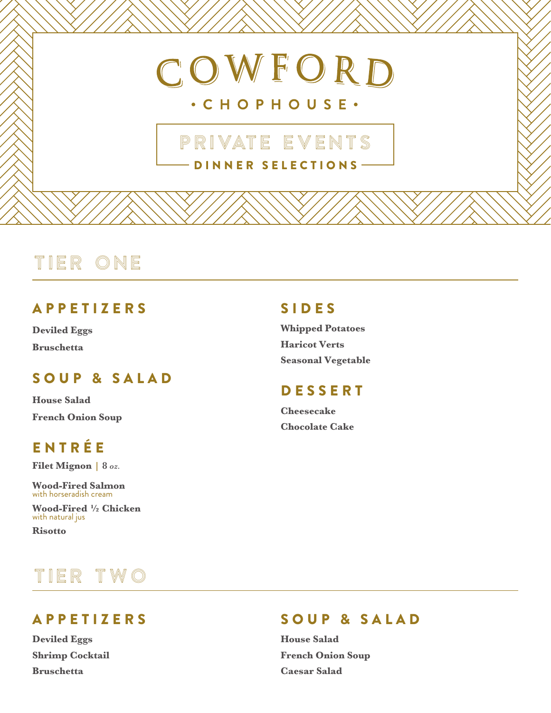# COWFORD

### · CHOPHOUSE ·

### DINNER SELECTIONS PRIVATE EVENTS

# TIER ONE

### **APPETIZERS**

**Deviled Eggs Bruschetta**

### SOUP & SALAD

**House Salad French Onion Soup**

### **ENTRÉE**

**Filet Mignon | 8** *oz.*

**Wood-Fired Salmon** with horseradish cream

**Wood-Fired ½ Chicken** with natural jus

**Risotto**

# TIER TWO

### S I DES

**Whipped Potatoes Haricot Verts Seasonal Vegetable**

### **DESSERT**

**Cheesecake Chocolate Cake**

A PPETIZERS

**Deviled Eggs Shrimp Cocktail Bruschetta**

### S O UP & SALAD

**House Salad French Onion Soup Caesar Salad**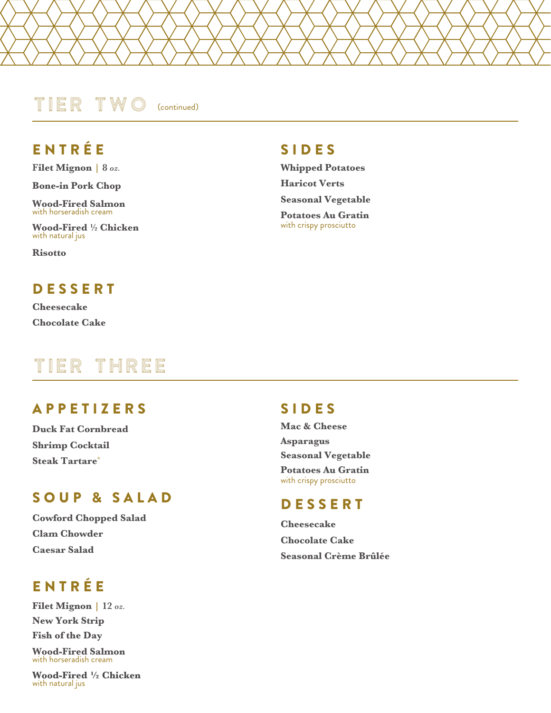#### TIER TWO (continued)

### E N T R É E

**Filet Mignon | 8** *oz.*

**Bone-in Pork Chop**

**Wood-Fired Salmon** with horseradish cream

**Wood-Fired ½ Chicken** with natural jus

**Risotto**

### **DESSERT**

**Cheesecake Chocolate Cake**

# TIER THREE

### **APPETIZERS**

**Duck Fat Cornbread Shrimp Cocktail Steak Tartare\***

#### S O UP & SALAD

**Cowford Chopped Salad Clam Chowder Caesar Salad**

### E N T R É E

**Filet Mignon | 12** *oz.* **New York Strip Fish of the Day Wood-Fired Salmon** with horseradish cream

**Wood-Fired ½ Chicken** with natural jus

#### S I DES

**Whipped Potatoes Haricot Verts Seasonal Vegetable**

**Potatoes Au Gratin** with crispy prosciutto

### S I DES

**Mac & Cheese Asparagus Seasonal Vegetable Potatoes Au Gratin**  with crispy prosciutto

#### **DESSERT**

**Cheesecake Chocolate Cake Seasonal Crème Brûlée**